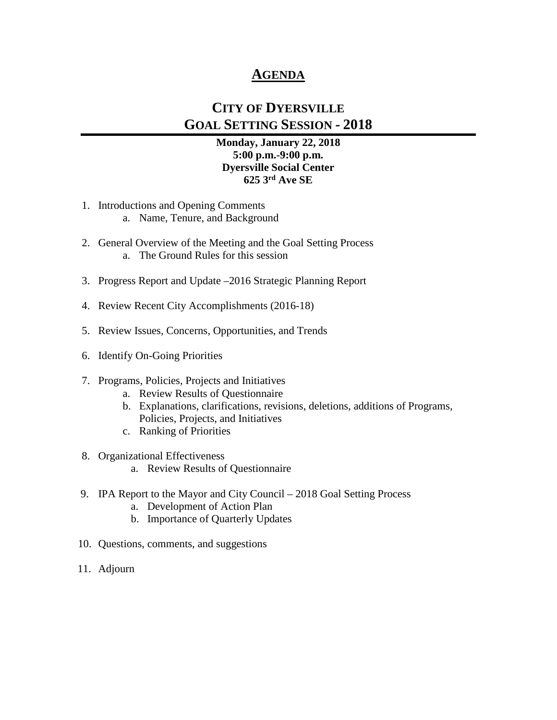# **AGENDA**

# **CITY OF DYERSVILLE GOAL SETTING SESSION - 2018**

#### **Monday, January 22, 2018 5:00 p.m.-9:00 p.m. Dyersville Social Center 625 3rd Ave SE**

- 1. Introductions and Opening Comments
	- a. Name, Tenure, and Background
- 2. General Overview of the Meeting and the Goal Setting Process a. The Ground Rules for this session
- 3. Progress Report and Update –2016 Strategic Planning Report
- 4. Review Recent City Accomplishments (2016-18)
- 5. Review Issues, Concerns, Opportunities, and Trends
- 6. Identify On-Going Priorities

#### 7. Programs, Policies, Projects and Initiatives

- a. Review Results of Questionnaire
- b. Explanations, clarifications, revisions, deletions, additions of Programs, Policies, Projects, and Initiatives
- c. Ranking of Priorities
- 8. Organizational Effectiveness
	- a. Review Results of Questionnaire
- 9. IPA Report to the Mayor and City Council 2018 Goal Setting Process
	- a. Development of Action Plan
	- b. Importance of Quarterly Updates
- 10. Questions, comments, and suggestions
- 11. Adjourn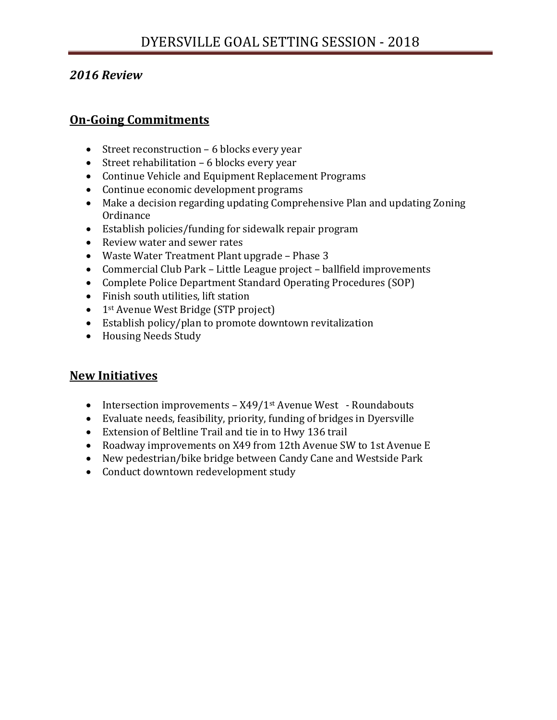# *2016 Review*

# **On-Going Commitments**

- Street reconstruction 6 blocks every year
- Street rehabilitation 6 blocks every year
- Continue Vehicle and Equipment Replacement Programs
- Continue economic development programs
- Make a decision regarding updating Comprehensive Plan and updating Zoning **Ordinance**
- Establish policies/funding for sidewalk repair program
- Review water and sewer rates
- Waste Water Treatment Plant upgrade Phase 3
- Commercial Club Park Little League project ballfield improvements
- Complete Police Department Standard Operating Procedures (SOP)
- Finish south utilities, lift station
- 1<sup>st</sup> Avenue West Bridge (STP project)
- Establish policy/plan to promote downtown revitalization
- Housing Needs Study

# **New Initiatives**

- Intersection improvements X49/1<sup>st</sup> Avenue West Roundabouts
- Evaluate needs, feasibility, priority, funding of bridges in Dyersville
- Extension of Beltline Trail and tie in to Hwy 136 trail
- Roadway improvements on X49 from 12th Avenue SW to 1st Avenue E
- New pedestrian/bike bridge between Candy Cane and Westside Park
- Conduct downtown redevelopment study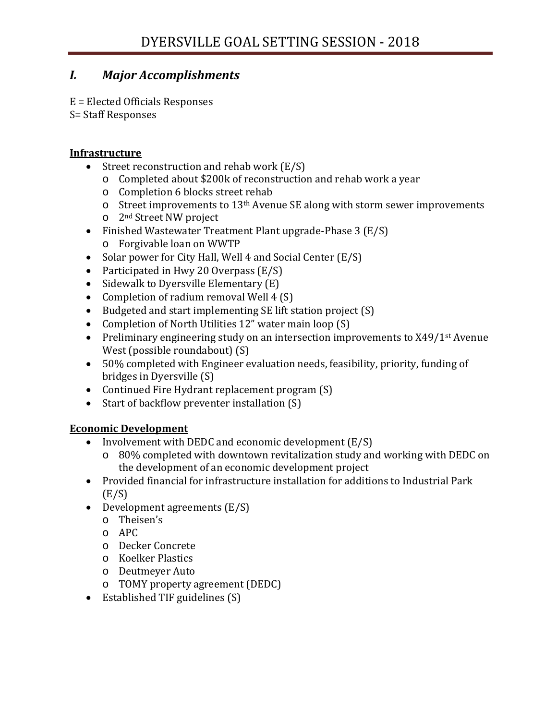# *I. Major Accomplishments*

E = Elected Officials Responses S= Staff Responses

#### **Infrastructure**

- Street reconstruction and rehab work (E/S)
	- o Completed about \$200k of reconstruction and rehab work a year
	- o Completion 6 blocks street rehab
	- o Street improvements to 13th Avenue SE along with storm sewer improvements
	- o 2nd Street NW project
- Finished Wastewater Treatment Plant upgrade-Phase 3 (E/S)
	- o Forgivable loan on WWTP
- Solar power for City Hall, Well 4 and Social Center (E/S)
- Participated in Hwy 20 Overpass (E/S)
- Sidewalk to Dyersville Elementary (E)
- Completion of radium removal Well 4 (S)
- Budgeted and start implementing SE lift station project (S)<br>• Completion of North Utilities 12" water main loop (S)
- Completion of North Utilities 12" water main loop (S)
- Preliminary engineering study on an intersection improvements to X49/1<sup>st</sup> Avenue West (possible roundabout) (S)
- 50% completed with Engineer evaluation needs, feasibility, priority, funding of bridges in Dyersville (S)
- Continued Fire Hydrant replacement program (S)
- Start of backflow preventer installation (S)

### **Economic Development**

- Involvement with DEDC and economic development (E/S)
	- o 80% completed with downtown revitalization study and working with DEDC on the development of an economic development project
- Provided financial for infrastructure installation for additions to Industrial Park  $(E/S)$
- Development agreements (E/S)
	- o Theisen's
	- o APC
	- o Decker Concrete
	- o Koelker Plastics
	- o Deutmeyer Auto
	- o TOMY property agreement (DEDC)
- Established TIF guidelines (S)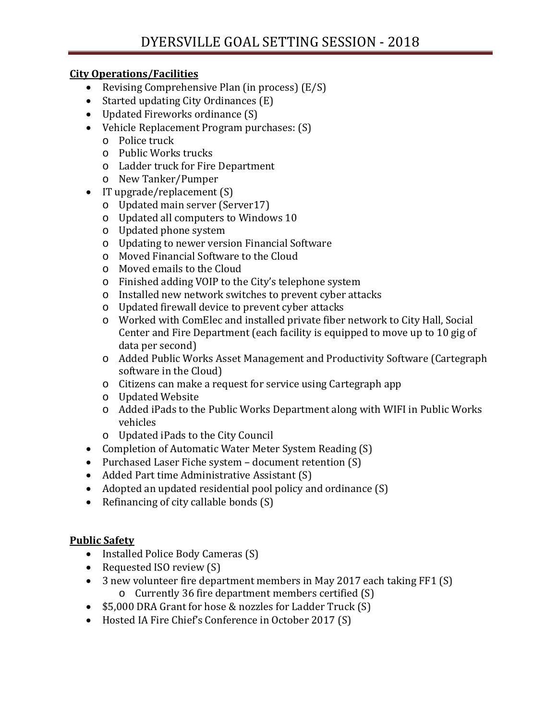#### **City Operations/Facilities**

- Revising Comprehensive Plan (in process) (E/S)
- Started updating City Ordinances (E)
- Updated Fireworks ordinance (S)
- Vehicle Replacement Program purchases: (S)
	- o Police truck
	- o Public Works trucks
	- o Ladder truck for Fire Department
	- o New Tanker/Pumper
- IT upgrade/replacement (S)
	- o Updated main server (Server17)
	- o Updated all computers to Windows 10
	- o Updated phone system
	- o Updating to newer version Financial Software
	- o Moved Financial Software to the Cloud
	- o Moved emails to the Cloud
	- o Finished adding VOIP to the City's telephone system
	- o Installed new network switches to prevent cyber attacks
	- o Updated firewall device to prevent cyber attacks
	- o Worked with ComElec and installed private fiber network to City Hall, Social Center and Fire Department (each facility is equipped to move up to 10 gig of data per second)
	- o Added Public Works Asset Management and Productivity Software (Cartegraph software in the Cloud)
	- o Citizens can make a request for service using Cartegraph app
	- o Updated Website
	- o Added iPads to the Public Works Department along with WIFI in Public Works vehicles
	- o Updated iPads to the City Council
- Completion of Automatic Water Meter System Reading (S)
- Purchased Laser Fiche system document retention (S)
- Added Part time Administrative Assistant (S)
- Adopted an updated residential pool policy and ordinance (S)
- Refinancing of city callable bonds (S)

### **Public Safety**

- Installed Police Body Cameras (S)
- Requested ISO review (S)
- 3 new volunteer fire department members in May 2017 each taking FF1 (S) o Currently 36 fire department members certified (S)
- \$5,000 DRA Grant for hose & nozzles for Ladder Truck (S)
- Hosted IA Fire Chief's Conference in October 2017 (S)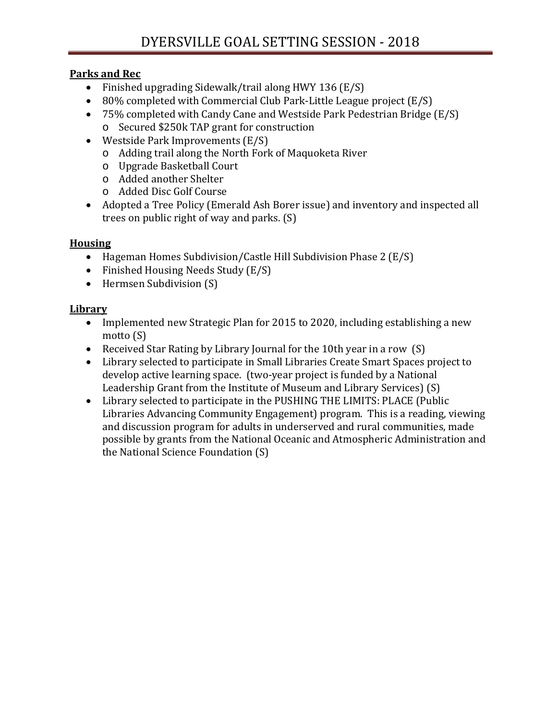### **Parks and Rec**

- Finished upgrading Sidewalk/trail along HWY 136 (E/S)
- 80% completed with Commercial Club Park-Little League project (E/S)
- 75% completed with Candy Cane and Westside Park Pedestrian Bridge (E/S)
	- o Secured \$250k TAP grant for construction
- Westside Park Improvements (E/S)
	- o Adding trail along the North Fork of Maquoketa River
	- o Upgrade Basketball Court
	- o Added another Shelter
	- o Added Disc Golf Course
- Adopted a Tree Policy (Emerald Ash Borer issue) and inventory and inspected all trees on public right of way and parks. (S)

# **Housing**

- Hageman Homes Subdivision/Castle Hill Subdivision Phase 2 (E/S)
- Finished Housing Needs Study (E/S)
- Hermsen Subdivision (S)

## **Library**

- Implemented new Strategic Plan for 2015 to 2020, including establishing a new motto (S)
- Received Star Rating by Library Journal for the 10th year in a row (S)
- Library selected to participate in Small Libraries Create Smart Spaces project to develop active learning space. (two-year project is funded by a National Leadership Grant from the Institute of Museum and Library Services) (S)
- Library selected to participate in the PUSHING THE LIMITS: PLACE (Public Libraries Advancing Community Engagement) program. This is a reading, viewing and discussion program for adults in underserved and rural communities, made possible by grants from the National Oceanic and Atmospheric Administration and the National Science Foundation (S)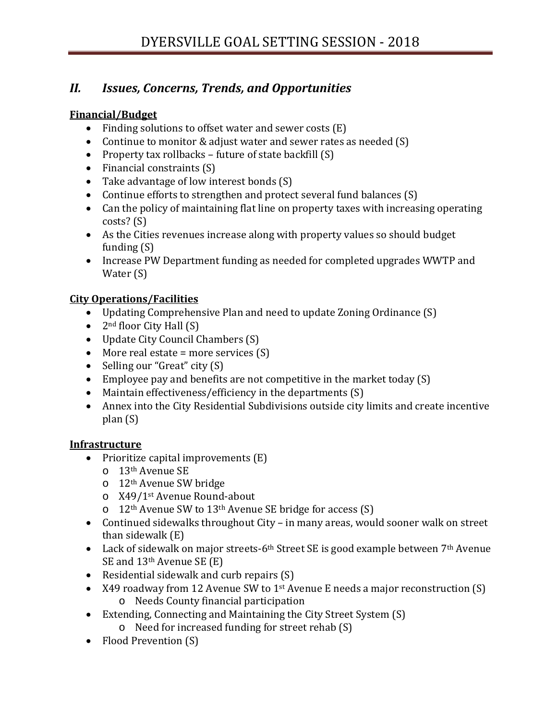# *II. Issues, Concerns, Trends, and Opportunities*

### **Financial/Budget**

- Finding solutions to offset water and sewer costs (E)
- Continue to monitor & adjust water and sewer rates as needed (S)
- Property tax rollbacks future of state backfill (S)
- Financial constraints (S)
- Take advantage of low interest bonds (S)
- Continue efforts to strengthen and protect several fund balances (S)
- Can the policy of maintaining flat line on property taxes with increasing operating costs? (S)
- As the Cities revenues increase along with property values so should budget funding (S)
- Increase PW Department funding as needed for completed upgrades WWTP and Water (S)

## **City Operations/Facilities**

- Updating Comprehensive Plan and need to update Zoning Ordinance (S)
- $2<sup>nd</sup>$  floor City Hall  $(S)$
- Update City Council Chambers (S)
- More real estate = more services (S)
- Selling our "Great" city (S)
- Employee pay and benefits are not competitive in the market today (S)
- Maintain effectiveness/efficiency in the departments (S)
- Annex into the City Residential Subdivisions outside city limits and create incentive plan (S)

## **Infrastructure**

- Prioritize capital improvements (E)
	- o 13th Avenue SE
	- o 12th Avenue SW bridge
	- o X49/1st Avenue Round-about
	- o 12th Avenue SW to 13th Avenue SE bridge for access (S)
- Continued sidewalks throughout City in many areas, would sooner walk on street than sidewalk (E)
- Lack of sidewalk on major streets-6<sup>th</sup> Street SE is good example between  $7<sup>th</sup>$  Avenue SE and 13th Avenue SE (E)
- Residential sidewalk and curb repairs (S)
- X49 roadway from 12 Avenue SW to 1<sup>st</sup> Avenue E needs a major reconstruction (S) o Needs County financial participation
- Extending, Connecting and Maintaining the City Street System (S) o Need for increased funding for street rehab (S)
- Flood Prevention (S)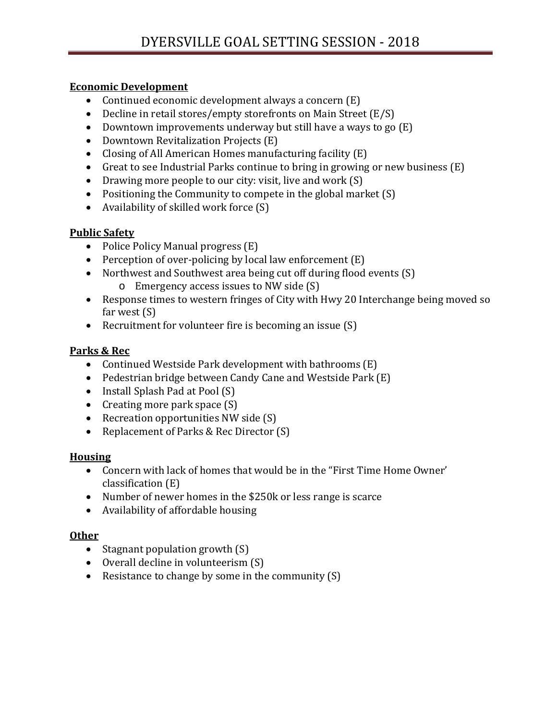### **Economic Development**

- Continued economic development always a concern (E)
- Decline in retail stores/empty storefronts on Main Street (E/S)
- Downtown improvements underway but still have a ways to go (E)
- Downtown Revitalization Projects (E)
- Closing of All American Homes manufacturing facility (E)
- Great to see Industrial Parks continue to bring in growing or new business (E)
- Drawing more people to our city: visit, live and work (S)
- Positioning the Community to compete in the global market (S)
- Availability of skilled work force (S)

### **Public Safety**

- Police Policy Manual progress (E)
- Perception of over-policing by local law enforcement (E)
- Northwest and Southwest area being cut off during flood events (S) o Emergency access issues to NW side (S)
- Response times to western fringes of City with Hwy 20 Interchange being moved so far west (S)
- Recruitment for volunteer fire is becoming an issue (S)

### **Parks & Rec**

- Continued Westside Park development with bathrooms (E)
- Pedestrian bridge between Candy Cane and Westside Park (E)
- Install Splash Pad at Pool (S)
- Creating more park space  $(S)$
- Recreation opportunities NW side (S)
- Replacement of Parks & Rec Director (S)

### **Housing**

- Concern with lack of homes that would be in the "First Time Home Owner' classification (E)
- Number of newer homes in the \$250k or less range is scarce
- Availability of affordable housing

## **Other**

- Stagnant population growth  $(S)$
- Overall decline in volunteerism (S)
- Resistance to change by some in the community (S)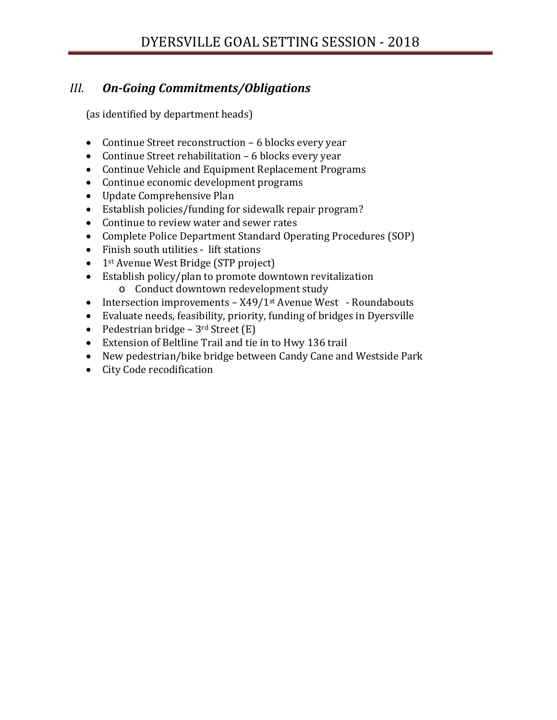# *III. On-Going Commitments/Obligations*

(as identified by department heads)

- Continue Street reconstruction 6 blocks every year
- Continue Street rehabilitation 6 blocks every year
- Continue Vehicle and Equipment Replacement Programs<br>• Continue economic development programs
- Continue economic development programs
- Update Comprehensive Plan
- Establish policies/funding for sidewalk repair program?
- Continue to review water and sewer rates
- Complete Police Department Standard Operating Procedures (SOP)
- Finish south utilities lift stations
- 1<sup>st</sup> Avenue West Bridge (STP project)
- Establish policy/plan to promote downtown revitalization o Conduct downtown redevelopment study
- Intersection improvements X49/1<sup>st</sup> Avenue West Roundabouts
- Evaluate needs, feasibility, priority, funding of bridges in Dyersville
- Pedestrian bridge  $3<sup>rd</sup>$  Street  $(E)$
- Extension of Beltline Trail and tie in to Hwy 136 trail
- New pedestrian/bike bridge between Candy Cane and Westside Park<br>• City Code recodification
- City Code recodification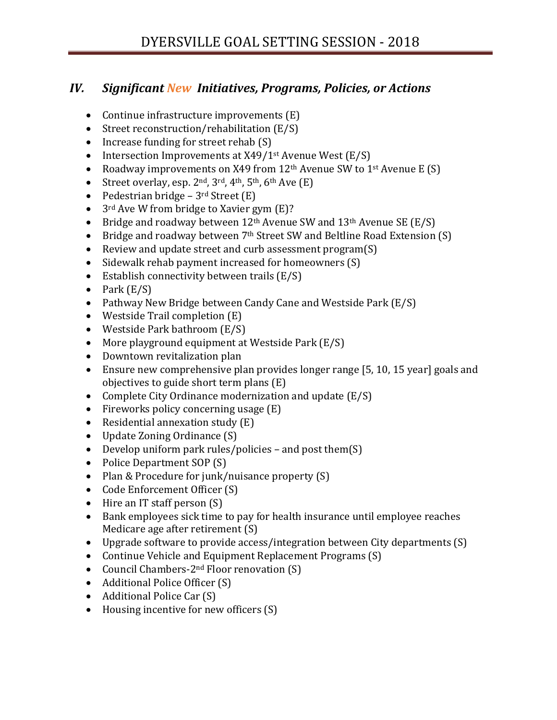# *IV. Significant New Initiatives, Programs, Policies, or Actions*

- Continue infrastructure improvements (E)
- Street reconstruction/rehabilitation (E/S)
- Increase funding for street rehab (S)
- Intersection Improvements at  $X49/1$ <sup>st</sup> Avenue West (E/S)<br>• Roadway improvements on  $X49$  from  $12$ <sup>th</sup> Avenue SW to 1
- Roadway improvements on X49 from  $12<sup>th</sup>$  Avenue SW to  $1<sup>st</sup>$  Avenue E (S)<br>• Street overlay, esp. 2nd, 3rd, 4th, 5th, 6th Ave (E)
- Street overlay, esp.  $2<sup>nd</sup>$ ,  $3<sup>rd</sup>$ ,  $4<sup>th</sup>$ ,  $5<sup>th</sup>$ ,  $6<sup>th</sup>$  Ave  $(E)$
- Pedestrian bridge  $3^{\text{rd}}$  Street (E)<br>•  $3^{\text{rd}}$  Ave W from bridge to Xavier g
- 3<sup>rd</sup> Ave W from bridge to Xavier gym (E)?
- Bridge and roadway between  $12<sup>th</sup>$  Avenue SW and  $13<sup>th</sup>$  Avenue SE (E/S)<br>• Bridge and roadway between 7<sup>th</sup> Street SW and Beltline Road Extension
- Bridge and roadway between  $7<sup>th</sup>$  Street SW and Beltline Road Extension (S)<br>• Review and undate street and curb assessment program(S)
- Review and update street and curb assessment program(S)
- Sidewalk rehab payment increased for homeowners (S)
- Establish connectivity between trails (E/S)
- Park  $(E/S)$
- Pathway New Bridge between Candy Cane and Westside Park (E/S)
- Westside Trail completion (E)
- Westside Park bathroom (E/S)<br>• More playground equipment at
- More playground equipment at Westside Park (E/S)
- Downtown revitalization plan<br>• Ensure new comprehensive pla
- Ensure new comprehensive plan provides longer range [5, 10, 15 year] goals and objectives to guide short term plans (E)
- Complete City Ordinance modernization and update (E/S)
- Fireworks policy concerning usage (E)<br>• Residential annexation study (E)
- Residential annexation study (E)
- Update Zoning Ordinance (S)
- Develop uniform park rules/policies and post them(S)
- Police Department SOP (S)
- Plan & Procedure for junk/nuisance property (S)
- Code Enforcement Officer (S)
- Hire an IT staff person (S)
- Bank employees sick time to pay for health insurance until employee reaches Medicare age after retirement (S)
- Upgrade software to provide access/integration between City departments (S)
- Continue Vehicle and Equipment Replacement Programs (S)
- Council Chambers-2<sup>nd</sup> Floor renovation (S)
- Additional Police Officer (S)
- Additional Police Car (S)
- Housing incentive for new officers (S)